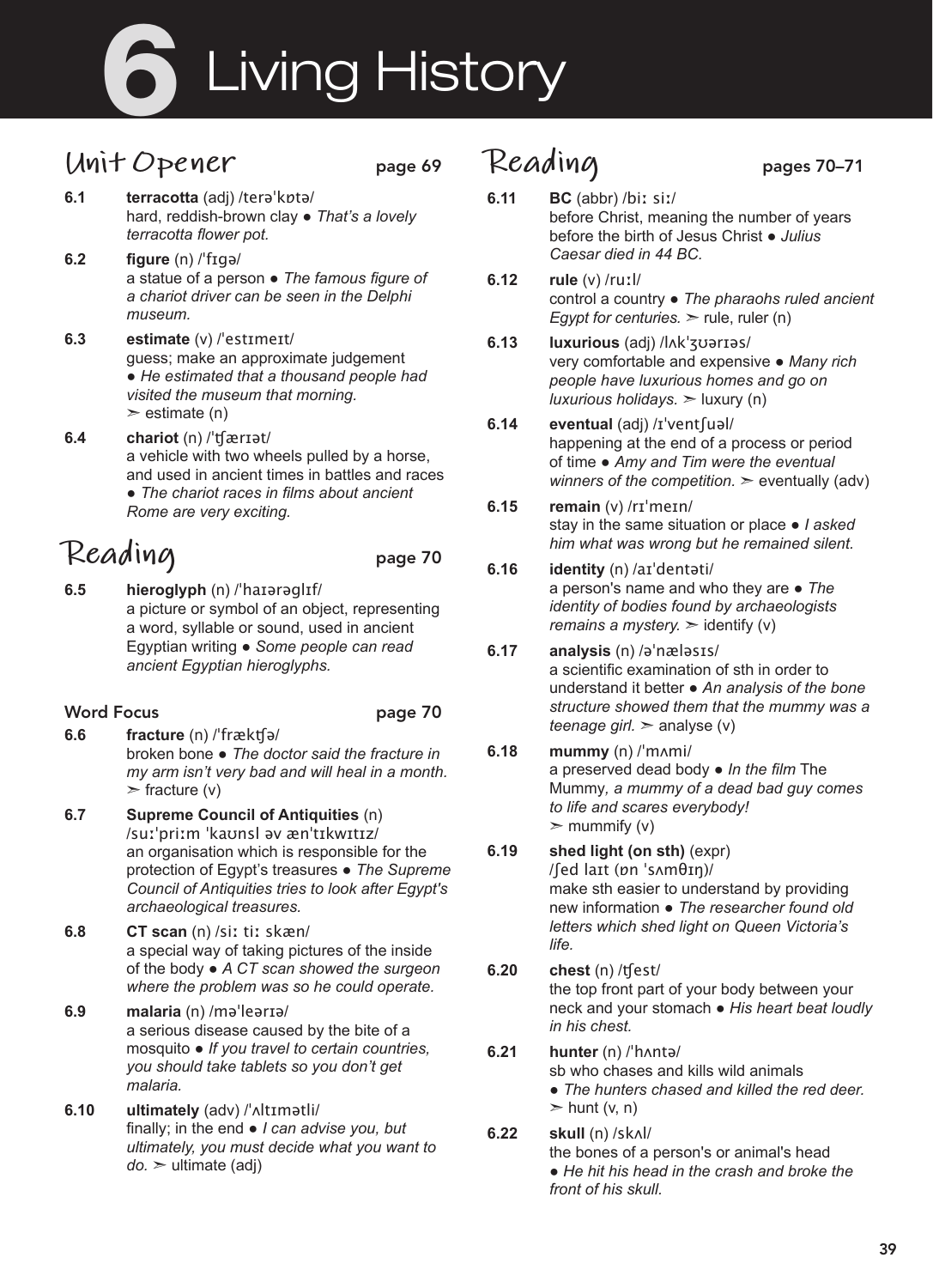# **6** Living History

## **Unit Opener** page 69

- **6.1 terracotta** (adj) /terəˈkɒtə/ hard, reddish-brown clay ● *That's a lovely terracotta flower pot.*
- **6.2 figure** (n) /ˈfɪgə/ a statue of a person ● *The famous figure of a chariot driver can be seen in the Delphi museum.*
- **6.3 estimate** (v) /ˈestɪmeɪt/ guess; make an approximate judgement ● *He estimated that a thousand people had visited the museum that morning.*   $\ge$  estimate (n)
- **6.4 chariot** (n) /ˈʧærɪət/ a vehicle with two wheels pulled by a horse, and used in ancient times in battles and races ● *The chariot races in films about ancient Rome are very exciting.*

# **Reading** page 70

**6.5 hieroglyph** (n) /ˈhaɪərəglɪf/ a picture or symbol of an object, representing a word, syllable or sound, used in ancient Egyptian writing ● *Some people can read ancient Egyptian hieroglyphs.* 

#### Word Focus **page 70**

- **6.6 fracture** (n) /ˈfrækʧə/ broken bone ● *The doctor said the fracture in my arm isn't very bad and will heal in a month.*   $\triangleright$  fracture (v)
- **6.7 Supreme Council of Antiquities** (n) /suːˈpriːm ˈkaʊnsl əv ænˈtɪkwɪtɪz/ an organisation which is responsible for the protection of Egypt's treasures ● *The Supreme Council of Antiquities tries to look after Egypt's archaeological treasures.*
- **6.8 CT scan** (n) /siː tiː skæn/ a special way of taking pictures of the inside of the body ● *A CT scan showed the surgeon where the problem was so he could operate.*
- **6.9 malaria** (n) /məˈleərɪə/ a serious disease caused by the bite of a mosquito ● *If you travel to certain countries, you should take tablets so you don't get malaria.*
- **6.10 ultimately** (adv) /ˈʌltɪmətli/ finally; in the end ● *I can advise you, but ultimately, you must decide what you want to do.* ➣ ultimate (adj)

## Reading pages 70-71

- 
- **6.11 BC** (abbr) /biː siː/ before Christ, meaning the number of years before the birth of Jesus Christ ● *Julius Caesar died in 44 BC.*
- **6.12 rule** (v) /ruːl/ control a country ● *The pharaohs ruled ancient Egypt for centuries.* > rule, ruler (n)
- **6.13 luxurious** (adj) /lʌkˈʒʊərɪəs/ very comfortable and expensive ● *Many rich people have luxurious homes and go on luxurious holidays.* ➣ luxury (n)
- **6.14 eventual** (adj) /ɪˈventʃuəl/ happening at the end of a process or period of time ● *Amy and Tim were the eventual winners of the competition.*  $\geq$  eventually (adv)

#### **6.15 remain** (v) /rɪˈmeɪn/ stay in the same situation or place ● *I asked him what was wrong but he remained silent.*

## **6.16 identity** (n) /aɪˈdentəti/

a person's name and who they are ● *The identity of bodies found by archaeologists remains a mystery.* > identify (v)

#### **6.17 analysis** (n) /əˈnæləsɪs/

a scientific examination of sth in order to understand it better ● *An analysis of the bone structure showed them that the mummy was a teenage girl.*  $>$  analyse (v)

### **6.18 mummy** (n) /ˈmʌmi/ a preserved dead body ● *In the film* The

Mummy*, a mummy of a dead bad guy comes to life and scares everybody!*   $\mathbf{m}$  mummify (v)

**6.19 shed light (on sth)** (expr) /ʃed laɪt (ɒn ˈsʌmθɪŋ)/

make sth easier to understand by providing new information ● *The researcher found old letters which shed light on Queen Victoria's life.* 

#### **6.20 chest** (n) /ʧest/ the top front part of your body between your neck and your stomach ● *His heart beat loudly in his chest.*

#### **6.21 hunter** (n) /ˈhʌntə/ sb who chases and kills wild animals ● *The hunters chased and killed the red deer.*   $\triangleright$  hunt (v, n)

#### **6.22 skull** (n) /skʌl/ the bones of a person's or animal's head ● *He hit his head in the crash and broke the front of his skull.*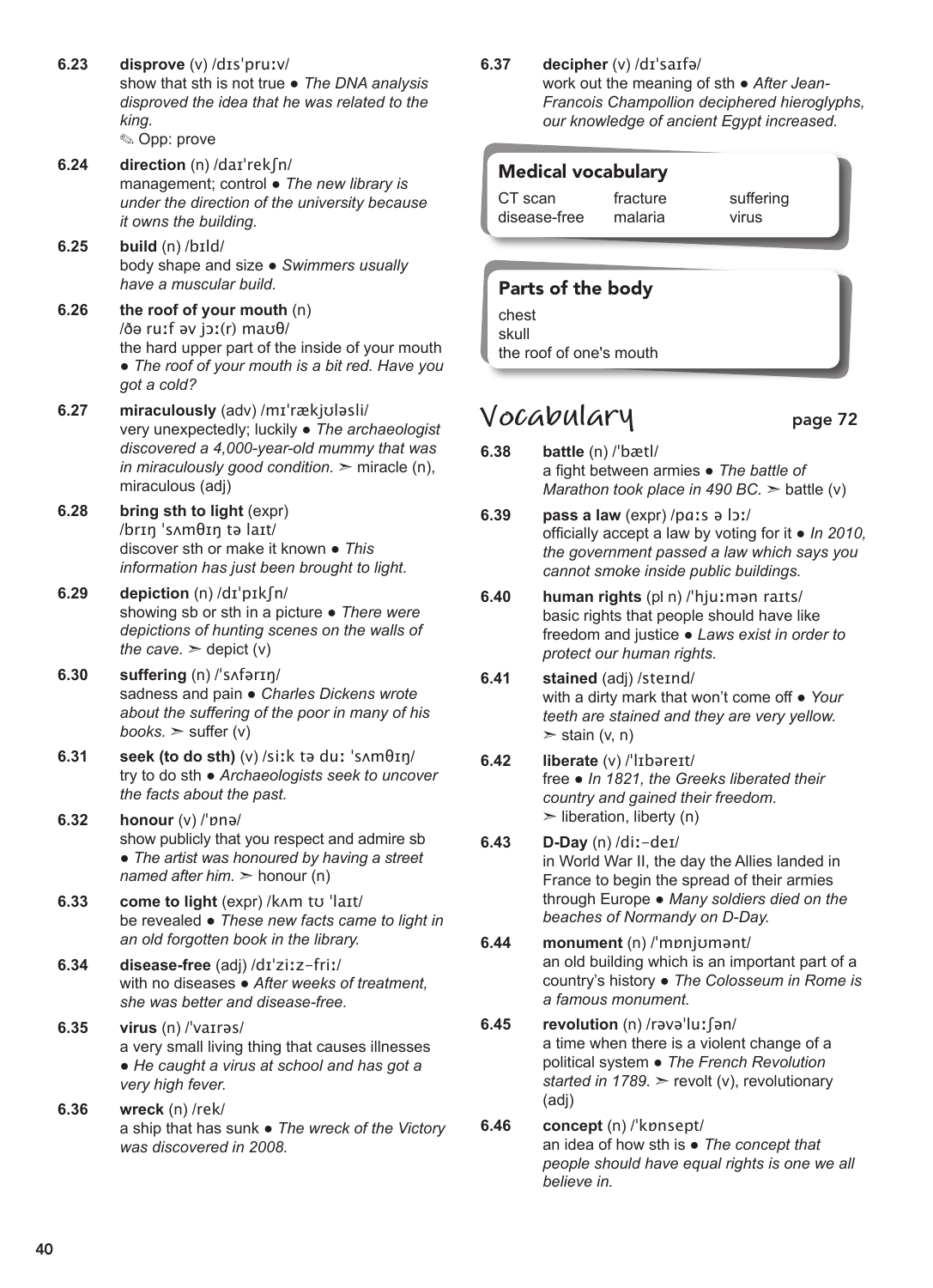- **6.23 disprove** (v) /dɪsˈpruːv/ show that sth is not true ● *The DNA analysis disproved the idea that he was related to the king.*  ✎ Opp: prove
- **6.24 direction** (n) /daɪˈrekʃn/ management; control ● *The new library is under the direction of the university because it owns the building.*
- **6.25 build** (n) /bɪld/ body shape and size ● *Swimmers usually have a muscular build.*
- **6.26 the roof of your mouth** (n) /ðə ruːf əv jɔː(r) maʊθ/ the hard upper part of the inside of your mouth ● *The roof of your mouth is a bit red. Have you got a cold?*
- **6.27 miraculously** (adv) /mɪˈrækjʊləsli/ very unexpectedly; luckily ● *The archaeologist discovered a 4,000-year-old mummy that was in miraculously good condition.*  $\geq$  miracle (n), miraculous (adj)
- **6.28 bring sth to light** (expr) /brɪŋ ˈsʌmθɪŋ tə laɪt/ discover sth or make it known ● *This information has just been brought to light.*
- **6.29 depiction** (n) /dɪˈpɪkʃn/ showing sb or sth in a picture ● *There were depictions of hunting scenes on the walls of the cave.*  $\ge$  depict (v)
- **6.30 suffering** (n) /ˈsʌfərɪŋ/ sadness and pain ● *Charles Dickens wrote about the suffering of the poor in many of his books.*  $>$  suffer (v)
- **6.31 seek (to do sth)** (v) /siːk tə duː ˈsʌmθɪŋ/ try to do sth ● *Archaeologists seek to uncover the facts about the past.*
- **6.32 honour** (v) /ˈɒnə/ show publicly that you respect and admire sb ● *The artist was honoured by having a street named after him.* ➣ honour (n)
- **6.33 come to light** (expr) /kʌm tʊ ˈlaɪt/ be revealed ● *These new facts came to light in an old forgotten book in the library.*
- **6.34 disease-free** (adj) /dɪˈziːz-friː/ with no diseases ● *After weeks of treatment, she was better and disease-free.*
- **6.35 virus** (n) /ˈvaɪrəs/ a very small living thing that causes illnesses ● *He caught a virus at school and has got a very high fever.*
- **6.36 wreck** (n) /rek/ a ship that has sunk ● *The wreck of the Victory was discovered in 2008.*

#### **6.37 decipher** (v) /dɪˈsaɪfə/

work out the meaning of sth ● *After Jean-Francois Champollion deciphered hieroglyphs, our knowledge of ancient Egypt increased.* 

#### Medical vocabulary

| CT scan      | fracture | suffering |
|--------------|----------|-----------|
| disease-free | malaria  | virus     |

#### Parts of the body

chest skull the roof of one's mouth

## **Vocabulary** page 72

- **6.38 battle** (n) /ˈbætl/ a fight between armies ● *The battle of Marathon took place in 490 BC.* > battle (v)
- **6.39 pass a law** (expr) /pɑːs ə lɔː/ officially accept a law by voting for it ● *In 2010, the government passed a law which says you cannot smoke inside public buildings.*
- **6.40 human rights** (pl n) /ˈhjuːmən raɪts/ basic rights that people should have like freedom and justice ● *Laws exist in order to protect our human rights.*
- **6.41 stained** (adj) /steɪnd/ with a dirty mark that won't come off ● *Your teeth are stained and they are very yellow.*   $>$  stain (v, n)
- **6.42 liberate** (v) /ˈlɪbəreɪt/ free ● *In 1821, the Greeks liberated their country and gained their freedom.*   $\blacktriangleright$  liberation, liberty (n)
- **6.43 D-Day** (n) /diː-deɪ/ in World War II, the day the Allies landed in France to begin the spread of their armies through Europe ● *Many soldiers died on the beaches of Normandy on D-Day.*
- **6.44 monument** (n) /ˈmɒnjʊmənt/ an old building which is an important part of a country's history ● *The Colosseum in Rome is a famous monument.*
- **6.45 revolution** (n) /rəvəˈluːʃən/ a time when there is a violent change of a political system ● *The French Revolution started in 1789.* ➣ revolt (v), revolutionary (adj)
- **6.46 concept** (n) /ˈkɒnsept/ an idea of how sth is ● *The concept that people should have equal rights is one we all believe in.*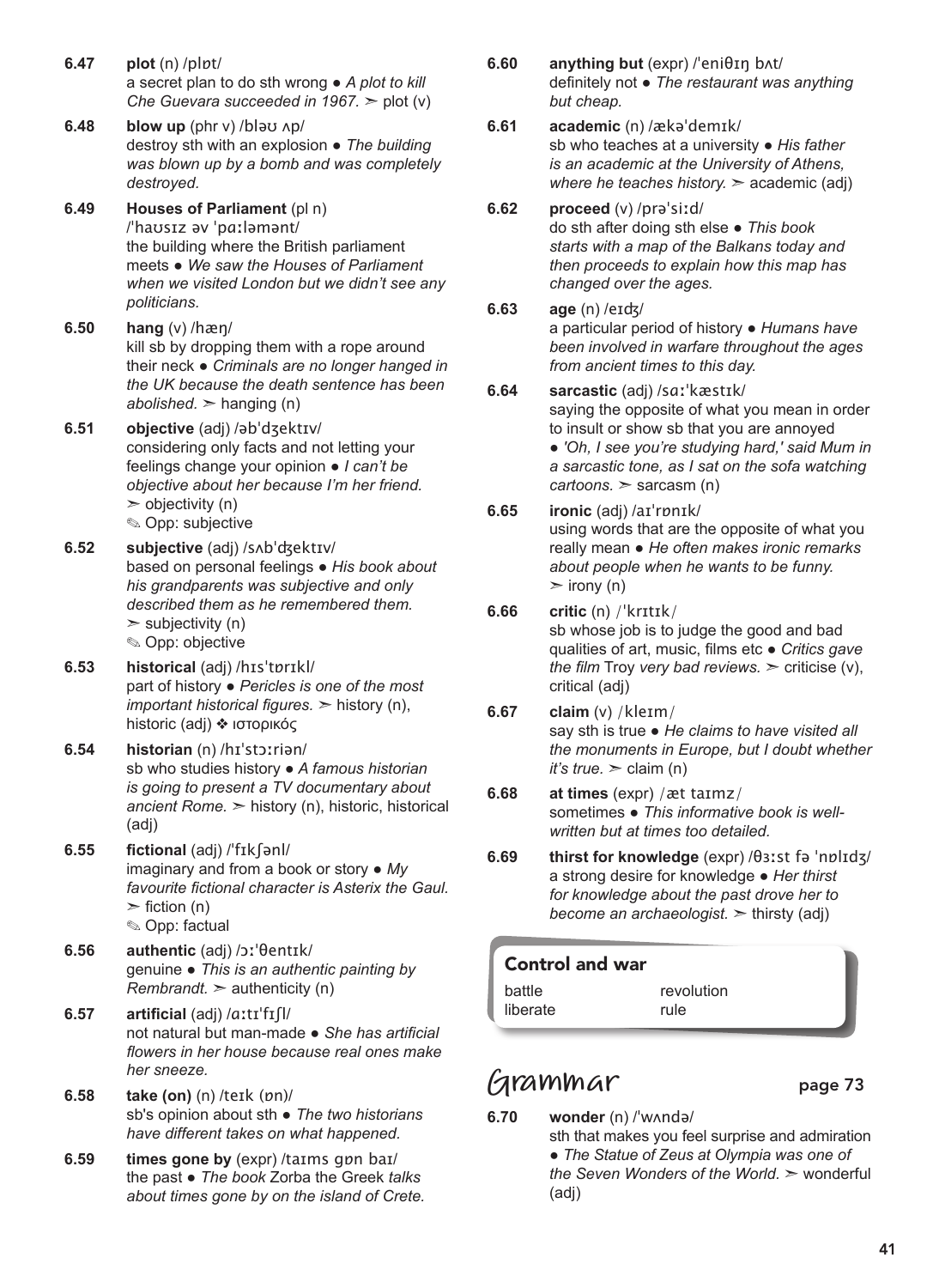- **6.47 plot** (n) /plɒt/ a secret plan to do sth wrong ● *A plot to kill Che Guevara succeeded in 1967.* ➣ plot (v)
- **6.48 blow up** (phr v) /bləʊ ʌp/ destroy sth with an explosion ● *The building was blown up by a bomb and was completely destroyed.*
- **6.49 Houses of Parliament** (pl n) /ˈhaʊsɪz əv ˈpɑːləmənt/ the building where the British parliament meets ● *We saw the Houses of Parliament when we visited London but we didn't see any politicians.*
- **6.50 hang** (v) /hæŋ/ kill sb by dropping them with a rope around their neck ● *Criminals are no longer hanged in the UK because the death sentence has been abolished.*  $\geq$  hanging (n)
- **6.51 objective** (adj) /əbˈdʒektɪv/ considering only facts and not letting your feelings change your opinion ● *I can't be objective about her because I'm her friend.*  $\geq$  objectivity (n) ✎ Opp: subjective
- **6.52 subjective** (adj) /sʌbˈʤektɪv/ based on personal feelings ● *His book about his grandparents was subjective and only described them as he remembered them.*   $\triangleright$  subjectivity (n) ✎ Opp: objective
- **6.53 historical** (adj) /hɪsˈtɒrɪkl/ part of history ● *Pericles is one of the most important historical figures.* ➣ history (n), historic (adj) ❖ ιστορικός
- **6.54 historian** (n) /hɪˈstɔːriən/ sb who studies history ● *A famous historian is going to present a TV documentary about ancient Rome.* ➣ history (n), historic, historical (adj)
- **6.55 fictional** (adj) /ˈfɪkʃənl/ imaginary and from a book or story ● *My favourite fictional character is Asterix the Gaul.*   $\ge$  fiction (n) ✎ Opp: factual
- **6.56 authentic** (adj) /ɔːˈθentɪk/ genuine ● *This is an authentic painting by Rembrandt.*  $>$  authenticity (n)
- **6.57 artificial** (adj) /ɑːtɪˈfɪʃl/ not natural but man-made ● *She has artificial flowers in her house because real ones make her sneeze.*
- **6.58 take (on)** (n) /teɪk (ɒn)/ sb's opinion about sth ● *The two historians have different takes on what happened.*
- **6.59 times gone by** (expr) /taɪms gɒn baɪ/ the past ● *The book* Zorba the Greek *talks about times gone by on the island of Crete.*
- **6.60 anything but** (expr) /ˈeniθɪŋ bʌt/ definitely not ● *The restaurant was anything but cheap.*
- **6.61 academic** (n) /ækəˈdemɪk/ sb who teaches at a university ● *His father is an academic at the University of Athens, where he teaches history.* > academic (adj)
- **6.62 proceed** (v) /prəˈsiːd/ do sth after doing sth else ● *This book starts with a map of the Balkans today and then proceeds to explain how this map has changed over the ages.*
- **6.63 age** (n) /eɪʤ/

a particular period of history ● *Humans have been involved in warfare throughout the ages from ancient times to this day.* 

- **6.64 sarcastic** (adj) /sɑːˈkæstɪk/ saying the opposite of what you mean in order to insult or show sb that you are annoyed ● *'Oh, I see you're studying hard,' said Mum in a sarcastic tone, as I sat on the sofa watching cartoons.* ➣ sarcasm (n)
- **6.65 ironic** (adj) /aɪˈrɒnɪk/ using words that are the opposite of what you really mean ● *He often makes ironic remarks about people when he wants to be funny.*   $\triangleright$  irony (n)
- **6.66 critic** (n) /ˈkrɪtɪk/ sb whose job is to judge the good and bad qualities of art, music, films etc ● *Critics gave the film* Troy *very bad reviews.* ➣ criticise (v), critical (adj)
- **6.67 claim** (v) /kleɪm/ say sth is true ● *He claims to have visited all the monuments in Europe, but I doubt whether it's true.*  $\ge$  claim (n)
- **6.68 at times** (expr) /æt taɪmz/ sometimes ● *This informative book is wellwritten but at times too detailed.*
- **6.69 thirst for knowledge** (expr) /θɜːst fə ˈnɒlɪdʒ/ a strong desire for knowledge ● *Her thirst for knowledge about the past drove her to become an archaeologist.* ➣ thirsty (adj)

#### Control and war battle liberate revolution rule

## **Grammar** page 73

**6.70 wonder** (n) /ˈwʌndə/ sth that makes you feel surprise and admiration ● *The Statue of Zeus at Olympia was one of the Seven Wonders of the World.* ➣ wonderful (adj)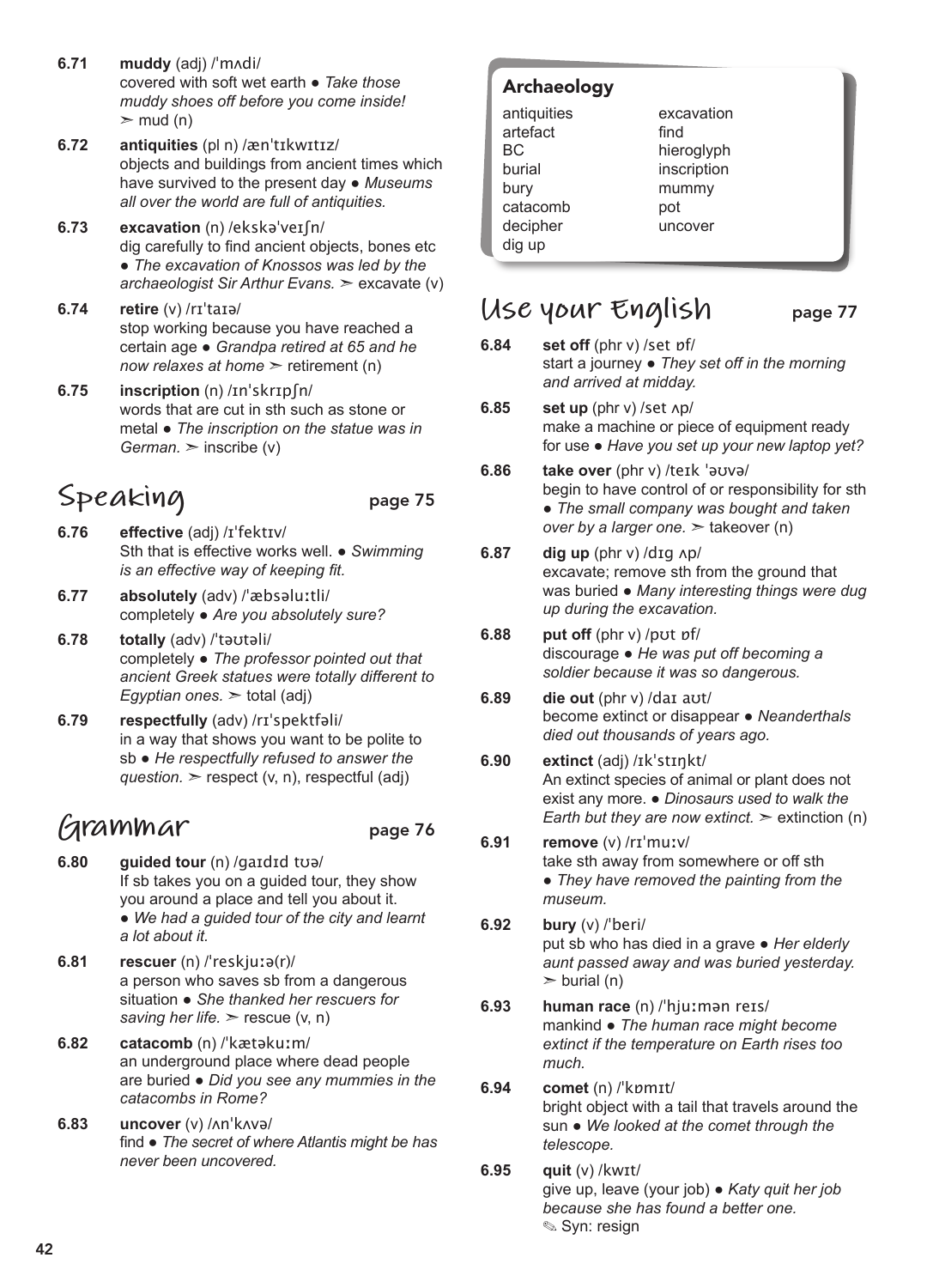- **6.71 muddy** (adj) /ˈmʌdi/ covered with soft wet earth ● *Take those muddy shoes off before you come inside!*  $\geq$  mud (n)
- **6.72 antiquities** (pl n) /ænˈtɪkwɪtɪz/ objects and buildings from ancient times which have survived to the present day ● *Museums all over the world are full of antiquities.*
- **6.73 excavation** (n) /ekskəˈveɪʃn/ dig carefully to find ancient objects, bones etc ● *The excavation of Knossos was led by the archaeologist Sir Arthur Evans.* ➣ excavate (v)
- **6.74 retire** (v) /rɪˈtaɪə/ stop working because you have reached a certain age ● *Grandpa retired at 65 and he now relaxes at home > retirement (n)*
- **6.75 inscription** (n) /ɪnˈskrɪpʃn/ words that are cut in sth such as stone or metal ● *The inscription on the statue was in German.* ➣ inscribe (v)

## Speaking page 75

- **6.76 effective** (adj) /ɪˈfektɪv/ Sth that is effective works well. ● *Swimming is an effective way of keeping fit.*
- **6.77 absolutely** (adv) /ˈæbsəluːtli/ completely ● *Are you absolutely sure?*
- **6.78 totally** (adv) /ˈtəʊtəli/ completely ● *The professor pointed out that ancient Greek statues were totally different to Egyptian ones.* ➣ total (adj)
- **6.79 respectfully** (adv) /rɪˈspektfəli/ in a way that shows you want to be polite to sb ● *He respectfully refused to answer the question.*  $\ge$  respect (v, n), respectful (adj)

## **Grammar** page 76

- **6.80 guided tour** (n) /gaɪdɪd tʊə/ If sb takes you on a guided tour, they show you around a place and tell you about it. ● *We had a guided tour of the city and learnt a lot about it.*
- **6.81 rescuer** (n) /ˈreskjuːə(r)/ a person who saves sb from a dangerous situation ● *She thanked her rescuers for saving her life.*  $\ge$  rescue (v, n)
- **6.82 catacomb** (n) /ˈkætəkuːm/ an underground place where dead people are buried ● *Did you see any mummies in the catacombs in Rome?*
- **6.83 uncover** (v) /ʌnˈkʌvə/ find ● *The secret of where Atlantis might be has never been uncovered.*

#### Archaeology

| antiquities |
|-------------|
| artefact    |
| ВC          |
| burial      |
| bury        |
| catacomb    |
| decipher    |
| dig up      |

excavation find hieroglyph inscription mummy pot uncover

## **Use your English** page 77

- **6.84 set off** (phr v) /set ɒf/ start a journey ● *They set off in the morning and arrived at midday.*
- **6.85 set up** (phr v) /set ʌp/ make a machine or piece of equipment ready for use ● *Have you set up your new laptop yet?*
- **6.86 take over** (phr v) /teɪk ˈəʊvə/ begin to have control of or responsibility for sth ● *The small company was bought and taken over by a larger one.* ➣ takeover (n)
- **6.87 dig up** (phr v) /dɪg ʌp/ excavate; remove sth from the ground that was buried ● *Many interesting things were dug up during the excavation.*
- **6.88 put off** (phr v) /pʊt ɒf/ discourage ● *He was put off becoming a soldier because it was so dangerous.*
- **6.89 die out** (phr v) /daɪ aʊt/ become extinct or disappear ● *Neanderthals died out thousands of years ago.*
- **6.90 extinct** (adj) /ɪkˈstɪŋkt/ An extinct species of animal or plant does not exist any more. ● *Dinosaurs used to walk the Earth but they are now extinct.*  $\geq$  extinction (n)
- **6.91 remove** (v) /rɪˈmuːv/ take sth away from somewhere or off sth ● *They have removed the painting from the museum.*
- **6.92 bury** (v) /ˈberi/ put sb who has died in a grave ● *Her elderly aunt passed away and was buried yesterday.*   $\ge$  burial (n)
- **6.93 human race** (n) /ˈhjuːmən reɪs/ mankind ● *The human race might become extinct if the temperature on Earth rises too much.*
- **6.94 comet** (n) /ˈkɒmɪt/ bright object with a tail that travels around the sun ● *We looked at the comet through the telescope.*
- **6.95 quit** (v) /kwɪt/ give up, leave (your job) ● *Katy quit her job because she has found a better one.*  ✎ Syn: resign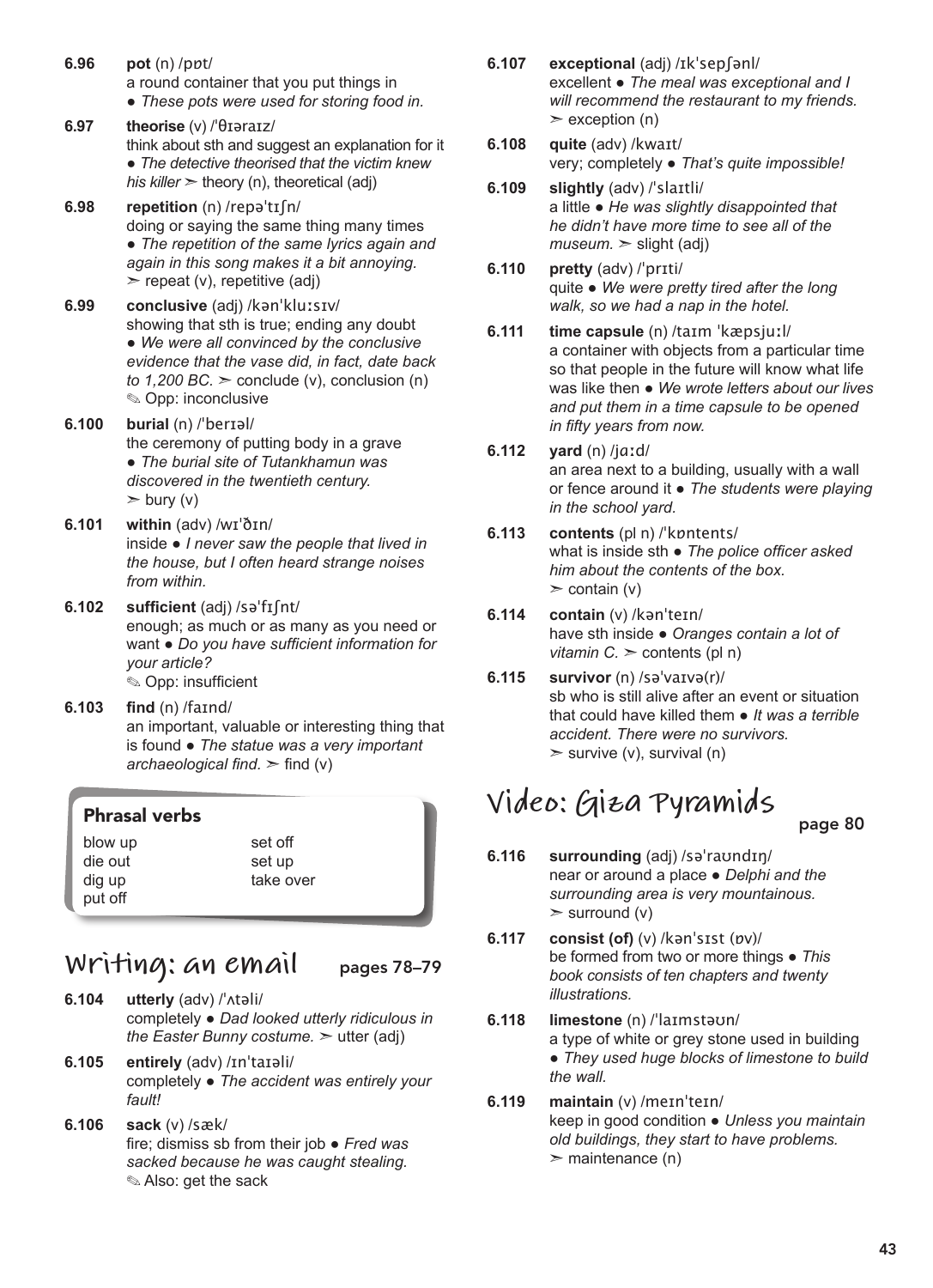- **6.96 pot** (n) /pɒt/ a round container that you put things in ● *These pots were used for storing food in.*
- **6.97 theorise** (v) /ˈθɪəraɪz/ think about sth and suggest an explanation for it ● *The detective theorised that the victim knew his killer*  $\ge$  theory (n), theoretical (adj)
- **6.98 repetition** (n) /repəˈtɪʃn/ doing or saying the same thing many times ● *The repetition of the same lyrics again and again in this song makes it a bit annoying.*   $\ge$  repeat (v), repetitive (adj)
- **6.99 conclusive** (adj) /kənˈkluːsɪv/ showing that sth is true; ending any doubt ● *We were all convinced by the conclusive evidence that the vase did, in fact, date back to 1,200 BC.*  $>$  conclude (v), conclusion (n) ✎ Opp: inconclusive
- **6.100 burial** (n) /ˈberɪəl/ the ceremony of putting body in a grave ● *The burial site of Tutankhamun was discovered in the twentieth century.*   $\geq$  bury (v)
- **6.101 within** (adv) /wɪˈðɪn/ inside ● *I never saw the people that lived in the house, but I often heard strange noises from within.*
- **6.102 sufficient** (adj) /səˈfɪʃnt/ enough; as much or as many as you need or want ● *Do you have sufficient information for your article?* ✎ Opp: insufficient
- **6.103 find** (n) /faɪnd/ an important, valuable or interesting thing that is found ● *The statue was a very important archaeological find.*  $\ge$  find (v)

er

#### Phrasal verbs

| blow up | set off |
|---------|---------|
| die out | set up  |
| dig up  | take ov |
| put off |         |

## **Writing: an email** pages 78–79

- **6.104 utterly** (adv) /ˈʌtəli/ completely ● *Dad looked utterly ridiculous in the Easter Bunny costume.* > utter (adj)
- **6.105 entirely** (adv) /ɪnˈtaɪəli/ completely ● *The accident was entirely your fault!*
- **6.106 sack** (v) /sæk/ fire; dismiss sb from their job ● *Fred was sacked because he was caught stealing.* ✎ Also: get the sack
- **6.107 exceptional** (adj) /ɪkˈsepʃənl/ excellent ● *The meal was exceptional and I will recommend the restaurant to my friends.*  $\ge$  exception (n)
- **6.108 quite** (adv) /kwaɪt/ very; completely ● *That's quite impossible!*
- **6.109 slightly** (adv) /ˈslaɪtli/ a little ● *He was slightly disappointed that he didn't have more time to see all of the*   $museum.$   $\ge$  slight (adj)
- **6.110 pretty** (adv) /ˈprɪti/ quite ● *We were pretty tired after the long walk, so we had a nap in the hotel.*
- **6.111 time capsule** (n) /taɪm ˈkæpsjuːl/ a container with objects from a particular time so that people in the future will know what life was like then ● *We wrote letters about our lives and put them in a time capsule to be opened in fifty years from now.*
- **6.112 yard** (n) /jɑːd/ an area next to a building, usually with a wall or fence around it ● *The students were playing in the school yard.*
- **6.113 contents** (pl n) /ˈkɒntents/ what is inside sth ● *The police officer asked him about the contents of the box.*  $\ge$  contain (v)
- **6.114 contain** (v) /kənˈteɪn/ have sth inside ● *Oranges contain a lot of vitamin C.*  $\ge$  *contents (pl n)*
- **6.115 survivor** (n) /səˈvaɪvə(r)/ sb who is still alive after an event or situation that could have killed them ● *It was a terrible accident. There were no survivors.*  $>$  survive (v), survival (n)

## **Video: Giza Pyramids**

- page 80
- **6.116 surrounding** (adj) /səˈraʊndɪŋ/ near or around a place ● *Delphi and the surrounding area is very mountainous.*   $>$  surround (v)
- **6.117 consist (of)** (v) /kənˈsɪst (ɒv)/ be formed from two or more things ● *This book consists of ten chapters and twenty illustrations.*
- **6.118 limestone** (n) /ˈlaɪmstəʊn/ a type of white or grey stone used in building ● *They used huge blocks of limestone to build the wall.*
- **6.119 maintain** (v) /meɪnˈteɪn/ keep in good condition ● *Unless you maintain old buildings, they start to have problems.*   $\geq$  maintenance (n)